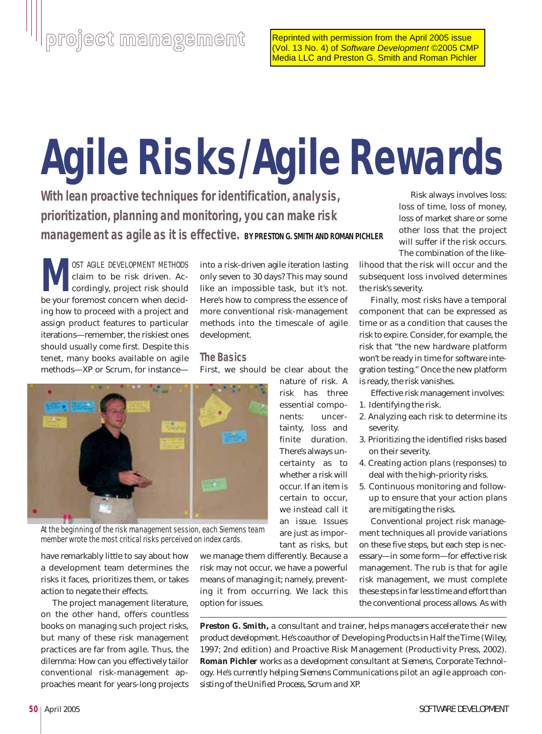# **Agile Risks/Agile Rewards**

**With lean proactive techniques for identification, analysis, prioritization, planning and monitoring, you can make risk management as agile as it is effective. BY PRESTON G. SMITH AND ROMAN PICHLER**

**M**OST AGILE DEVELOPMENT METHODS<br>claim to be risk driven. Accordingly, project risk should<br>be your foremost concern when decidclaim to be risk driven. Accordingly, project risk should be your foremost concern when deciding how to proceed with a project and assign product features to particular iterations—remember, the riskiest ones should usually come first. Despite this tenet, many books available on agile methods—XP or Scrum, for instance—

into a risk-driven agile iteration lasting only seven to 30 days? This may sound like an impossible task, but it's not. Here's how to compress the essence of more conventional risk-management methods into the timescale of agile development.

## **The Basics**

First, we should be clear about the

nature of risk. A risk has three essential components: uncertainty, loss and finite duration. There's always uncertainty as to whether a risk will occur. If an item is certain to occur, we instead call it an *issue*. Issues are just as important as risks, but



At the beginning of the risk management session, each Siemens team member wrote the most critical risks perceived on index cards.

have remarkably little to say about how a development team determines the risks it faces, prioritizes them, or takes action to negate their effects.

The project management literature, on the other hand, offers countless books on managing such project risks, but many of these risk management practices are far from agile. Thus, the dilemma: How can you effectively tailor conventional risk-management approaches meant for years-long projects

we manage them differently. Because a risk may not occur, we have a powerful means of managing it; namely, preventing it from occurring. We lack this option for issues.

Risk always involves loss: loss of time, loss of money, loss of market share or some other loss that the project will suffer if the risk occurs. The combination of the like-

lihood that the risk will occur and the subsequent loss involved determines the risk's severity.

Finally, most risks have a temporal component that can be expressed as time or as a condition that causes the risk to expire. Consider, for example, the risk that "the new hardware platform won't be ready in time for software integration testing." Once the new platform is ready, the risk vanishes.

Effective risk management involves:

- 1. Identifying the risk.
- 2. Analyzing each risk to determine its severity.
- 3. Prioritizing the identified risks based on their severity.
- 4. Creating action plans (responses) to deal with the high-priority risks.
- 5. Continuous monitoring and followup to ensure that your action plans are mitigating the risks.

Conventional project risk management techniques all provide variations on these five steps, but each step is necessary—in some form—for effective risk management. The rub is that for agile risk management, we must complete these steps in far less time and effort than the conventional process allows. As with

*Preston G. Smith, a consultant and trainer, helps managers accelerate their new product development. He's coauthor of* Developing Products in Half the Time *(Wiley, 1997; 2nd edition) and* Proactive Risk Management *(Productivity Press, 2002). Roman Pichler works as a development consultant at Siemens, Corporate Technology. He's currently helping Siemens Communications pilot an agile approach consisting of the Unified Process, Scrum and XP.*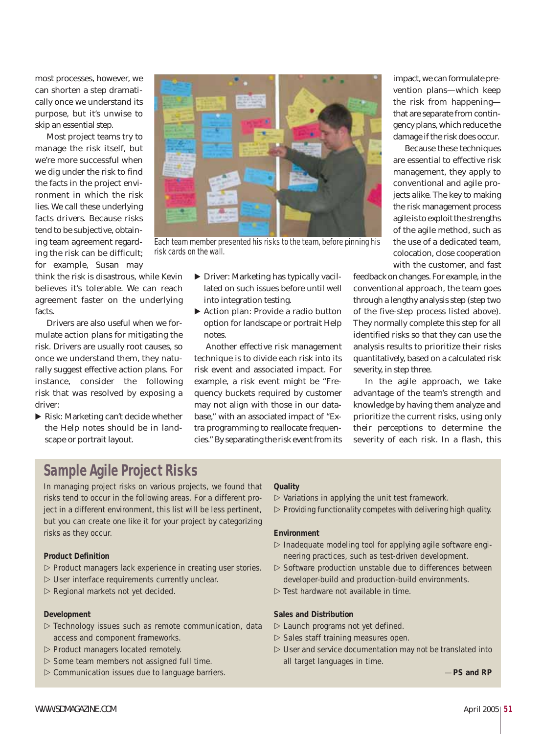most processes, however, we can shorten a step dramatically once we understand its purpose, but it's unwise to skip an essential step.

Most project teams try to manage the risk itself, but we're more successful when we dig under the risk to find the facts in the project environment in which the risk lies. We call these underlying facts *drivers*. Because risks tend to be subjective, obtaining team agreement regarding the risk can be difficult; for example, Susan may

think the risk is disastrous, while Kevin believes it's tolerable. We can reach agreement faster on the underlying facts.

Drivers are also useful when we formulate action plans for mitigating the risk. Drivers are usually root causes, so once we understand them, they naturally suggest effective action plans. For instance, consider the following risk that was resolved by exposing a driver:

▶ Risk: Marketing can't decide whether the Help notes should be in landscape or portrait layout.



Each team member presented his risks to the team, before pinning his risk cards on the wall.

- Driver: Marketing has typically vacillated on such issues before until well into integration testing.
- ▶ Action plan: Provide a radio button option for landscape or portrait Help notes.

Another effective risk management technique is to divide each risk into its risk event and associated impact. For example, a risk event might be "Frequency buckets required by customer may not align with those in our database," with an associated impact of "Extra programming to reallocate frequencies." By separating the risk event from its impact, we can formulate prevention plans—which keep the risk from happening that are separate from contingency plans, which reduce the damage if the risk does occur.

Because these techniques are essential to effective risk management, they apply to conventional and agile projects alike. The key to making the risk management process agile is to exploit the strengths of the agile method, such as the use of a dedicated team, colocation, close cooperation with the customer, and fast

feedback on changes. For example, in the conventional approach, the team goes through a lengthy analysis step (step two of the five-step process listed above). They normally complete this step for all identified risks so that they can use the analysis results to prioritize their risks quantitatively, based on a calculated risk severity, in step three.

In the agile approach, we take advantage of the team's strength and knowledge by having them analyze and prioritize the current risks, using *only their perceptions* to determine the severity of each risk. In a flash, this

# **Sample Agile Project Risks**

In managing project risks on various projects, we found that risks tend to occur in the following areas. For a different project in a different environment, this list will be less pertinent, but you can create one like it for your project by categorizing risks as they occur.

#### **Product Definition**

- $\triangleright$  Product managers lack experience in creating user stories.
- $\triangleright$  User interface requirements currently unclear.
- $\triangleright$  Regional markets not yet decided.

#### **Development**

- $\triangleright$  Technology issues such as remote communication, data access and component frameworks.
- $\triangleright$  Product managers located remotely.
- $\triangleright$  Some team members not assigned full time.
- $\triangleright$  Communication issues due to language barriers.

#### **Quality**

 $\triangleright$  Variations in applying the unit test framework.

 $\triangleright$  Providing functionality competes with delivering high quality.

#### **Environment**

- $\triangleright$  Inadequate modeling tool for applying agile software engineering practices, such as test-driven development.
- $\triangleright$  Software production unstable due to differences between developer-build and production-build environments.
- $\triangleright$  Test hardware not available in time.

#### **Sales and Distribution**

- $\triangleright$  Launch programs not yet defined.
- $\triangleright$  Sales staff training measures open.
- $\triangleright$  User and service documentation may not be translated into all target languages in time.

—**PS and RP**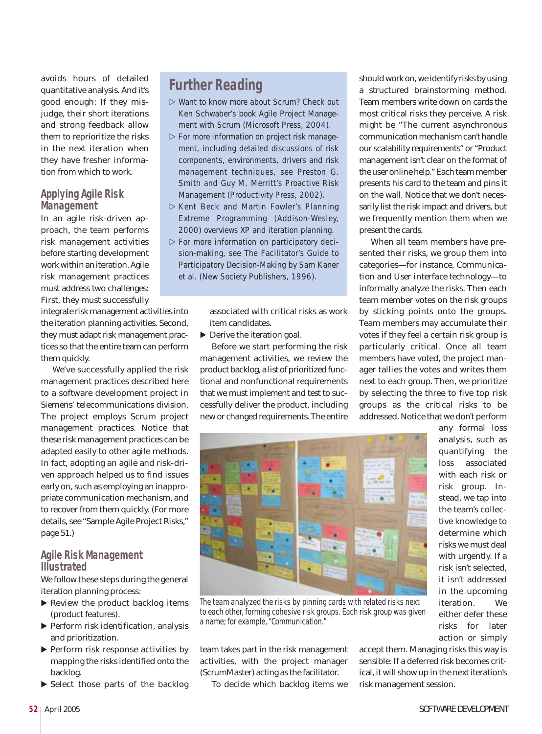avoids hours of detailed quantitative analysis. And it's good enough: If they misjudge, their short iterations and strong feedback allow them to reprioritize the risks in the next iteration when they have fresher information from which to work.

#### **Applying Agile Risk Management**

In an agile risk-driven approach, the team performs risk management activities before starting development work within an iteration. Agile risk management practices must address two challenges: First, they must successfully

integrate risk management activities into the iteration planning activities. Second, they must adapt risk management practices so that the entire team can perform them quickly.

We've successfully applied the risk management practices described here to a software development project in Siemens' telecommunications division. The project employs Scrum project management practices. Notice that these risk management practices can be adapted easily to other agile methods. In fact, adopting an agile and risk-driven approach helped us to find issues early on, such as employing an inappropriate communication mechanism, and to recover from them quickly. (For more details, see "Sample Agile Project Risks," page 51.)

## **Agile Risk Management Illustrated**

We follow these steps during the general iteration planning process:

- ▶ Review the product backlog items (product features).
- Perform risk identification, analysis and prioritization.
- Perform risk response activities by mapping the risks identified onto the backlog.
- ▶ Select those parts of the backlog

## **Further Reading**

- Want to know more about Scrum? Check out Ken Schwaber's book *Agile Project Management with Scrum* (Microsoft Press, 2004).
- $\triangleright$  For more information on project risk management, including detailed discussions of risk components, environments, drivers and risk management techniques, see Preston G. Smith and Guy M. Merritt's *Proactive Risk Management* (Productivity Press, 2002).
- Kent Beck and Martin Fowler's *Planning Extreme Programming* (Addison-Wesley, 2000) overviews XP and iteration planning.
- $\triangleright$  For more information on participatory decision-making, see *The Facilitator's Guide to Participatory Decision-Making* by Sam Kaner et al. (New Society Publishers, 1996).

associated with critical risks as work item candidates.

▶ Derive the iteration goal.

Before we start performing the risk management activities, we review the product backlog, a list of prioritized functional and nonfunctional requirements that we must implement and test to successfully deliver the product, including new or changed requirements. The entire should work on, we identify risks by using a structured brainstorming method. Team members write down on cards the most critical risks they perceive. A risk might be "The current asynchronous communication mechanism can't handle our scalability requirements" or "Product management isn't clear on the format of the user online help." Each team member presents his card to the team and pins it on the wall. Notice that we don't necessarily list the risk impact and drivers, but we frequently mention them when we present the cards.

When all team members have presented their risks, we group them into categories—for instance, *Communication* and *User interface technology*—to informally analyze the risks. Then each team member votes on the risk groups by sticking points onto the groups. Team members may accumulate their votes if they feel a certain risk group is particularly critical. Once all team members have voted, the project manager tallies the votes and writes them next to each group. Then, we prioritize by selecting the three to five top risk groups as the critical risks to be addressed. Notice that we don't perform



The team analyzed the risks by pinning cards with related risks next to each other, forming cohesive risk groups. Each risk group was given a name; for example, "Communication."

team takes part in the risk management activities, with the project manager (ScrumMaster) acting as the facilitator.

To decide which backlog items we

any formal loss analysis, such as quantifying the loss associated with each risk or risk group. Instead, we tap into the team's collective knowledge to determine which risks we must deal with urgently. If a risk isn't selected, it isn't addressed in the upcoming iteration. We either defer these risks for later action or simply

accept them. Managing risks this way is sensible: If a deferred risk becomes critical, it will show up in the next iteration's risk management session.